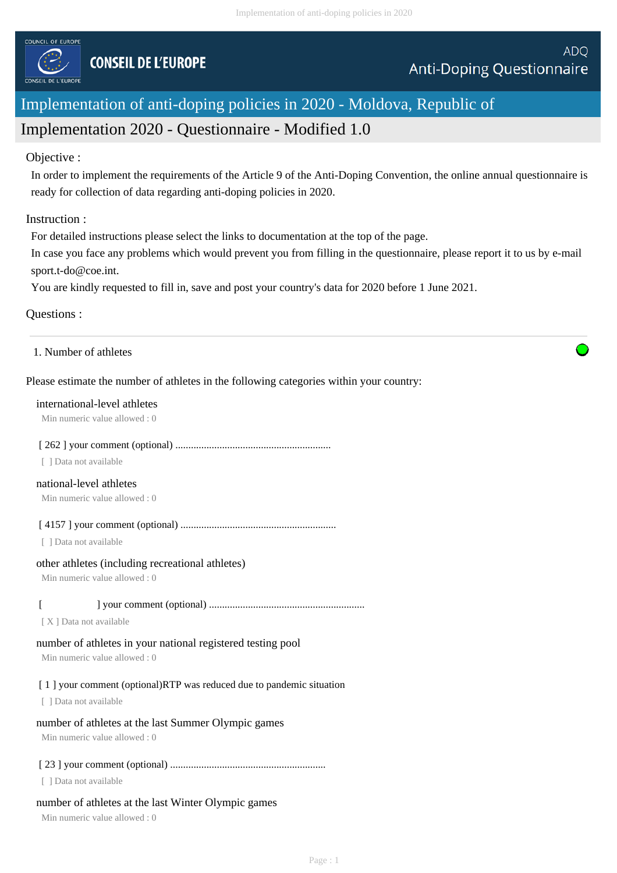

# Implementation of anti-doping policies in 2020 - Moldova, Republic of Implementation 2020 - Questionnaire - Modified 1.0

## Objective :

In order to implement the requirements of the Article 9 of the Anti-Doping Convention, the online annual questionnaire is ready for collection of data regarding anti-doping policies in 2020.

## Instruction :

For detailed instructions please select the links to documentation at the top of the page.

In case you face any problems which would prevent you from filling in the questionnaire, please report it to us by e-mail sport.t-do@coe.int.

You are kindly requested to fill in, save and post your country's data for 2020 before 1 June 2021.

#### Questions :

#### 1. Number of athletes

## Please estimate the number of athletes in the following categories within your country:

#### international-level athletes

Min numeric value allowed : 0

#### [ 262 ] your comment (optional) ............................................................

[ ] Data not available

# national-level athletes

Min numeric value allowed : 0

[ 4157 ] your comment (optional) ............................................................

[ ] Data not available

## other athletes (including recreational athletes)

Min numeric value allowed : 0

## [ ] your comment (optional) ............................................................

[ X ] Data not available

# number of athletes in your national registered testing pool

Min numeric value allowed : 0

# [1] your comment (optional)RTP was reduced due to pandemic situation

[ ] Data not available

# number of athletes at the last Summer Olympic games

Min numeric value allowed : 0

# [ 23 ] your comment (optional) ............................................................

[ ] Data not available

# number of athletes at the last Winter Olympic games

Min numeric value allowed : 0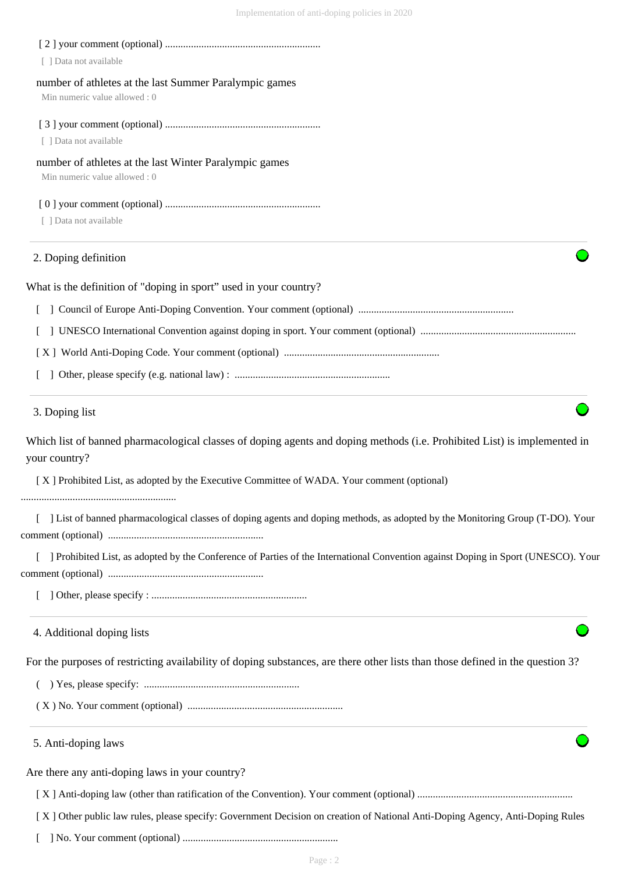| [ ] Data not available                                                                                                                     |
|--------------------------------------------------------------------------------------------------------------------------------------------|
| number of athletes at the last Summer Paralympic games<br>Min numeric value allowed: 0                                                     |
|                                                                                                                                            |
| [ ] Data not available                                                                                                                     |
| number of athletes at the last Winter Paralympic games<br>Min numeric value allowed: 0                                                     |
|                                                                                                                                            |
| [ ] Data not available                                                                                                                     |
| 2. Doping definition                                                                                                                       |
| What is the definition of "doping in sport" used in your country?                                                                          |
|                                                                                                                                            |
|                                                                                                                                            |
|                                                                                                                                            |
|                                                                                                                                            |
| 3. Doping list                                                                                                                             |
| Which list of banned pharmacological classes of doping agents and doping methods (i.e. Prohibited List) is implemented in<br>your country? |
| [X] Prohibited List, as adopted by the Executive Committee of WADA. Your comment (optional)                                                |
| ] List of banned pharmacological classes of doping agents and doping methods, as adopted by the Monitoring Group (T-DO). Your              |
| [ ] Prohibited List, as adopted by the Conference of Parties of the International Convention against Doping in Sport (UNESCO). Your        |
|                                                                                                                                            |
| 4. Additional doping lists                                                                                                                 |
| For the purposes of restricting availability of doping substances, are there other lists than those defined in the question 3?             |
|                                                                                                                                            |
|                                                                                                                                            |
| 5. Anti-doping laws                                                                                                                        |
| Are there any anti-doping laws in your country?                                                                                            |
|                                                                                                                                            |
| [X] Other public law rules, please specify: Government Decision on creation of National Anti-Doping Agency, Anti-Doping Rules              |
|                                                                                                                                            |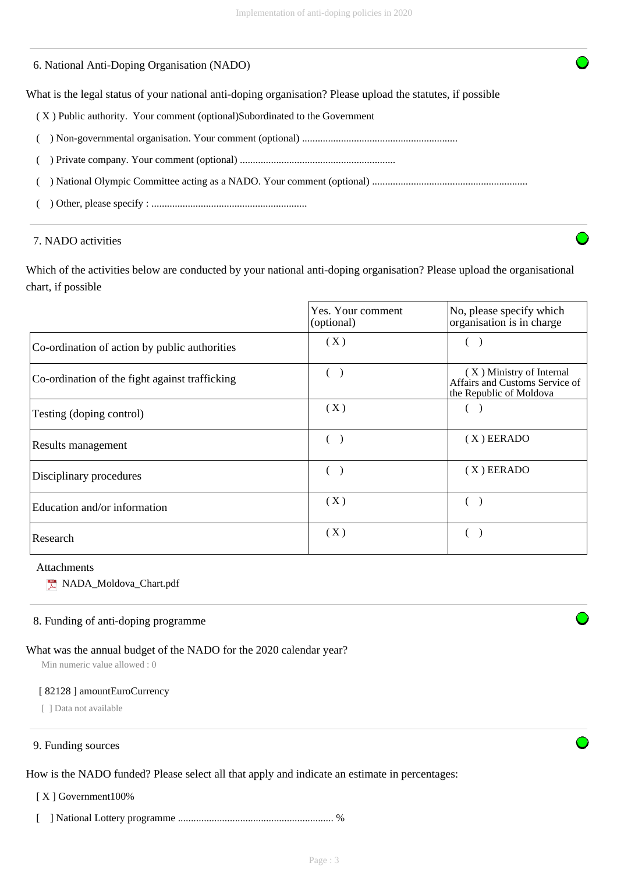#### 6. National Anti-Doping Organisation (NADO)

What is the legal status of your national anti-doping organisation? Please upload the statutes, if possible

- ( X ) Public authority. Your comment (optional)Subordinated to the Government
- ( ) Non-governmental organisation. Your comment (optional) ............................................................
- ( ) Private company. Your comment (optional) ............................................................

( ) National Olympic Committee acting as a NADO. Your comment (optional) ............................................................

( ) Other, please specify : ............................................................

#### 7. NADO activities

Which of the activities below are conducted by your national anti-doping organisation? Please upload the organisational chart, if possible

|                                                | Yes. Your comment<br>(optional) | No, please specify which<br>organisation is in charge                                 |
|------------------------------------------------|---------------------------------|---------------------------------------------------------------------------------------|
| Co-ordination of action by public authorities  | (X)                             |                                                                                       |
| Co-ordination of the fight against trafficking |                                 | (X) Ministry of Internal<br>Affairs and Customs Service of<br>the Republic of Moldova |
| Testing (doping control)                       | (X)                             |                                                                                       |
| Results management                             |                                 | (X) EERADO                                                                            |
| Disciplinary procedures                        |                                 | (X) EERADO                                                                            |
| Education and/or information                   | (X)                             |                                                                                       |
| Research                                       | (X)                             |                                                                                       |

#### Attachments

NADA\_Moldova\_Chart.pdf

## 8. Funding of anti-doping programme

#### What was the annual budget of the NADO for the 2020 calendar year?

Min numeric value allowed : 0

#### [ 82128 ] amountEuroCurrency

[ ] Data not available

#### 9. Funding sources

How is the NADO funded? Please select all that apply and indicate an estimate in percentages:

[ X ] Government100%

[ ] National Lottery programme ............................................................ %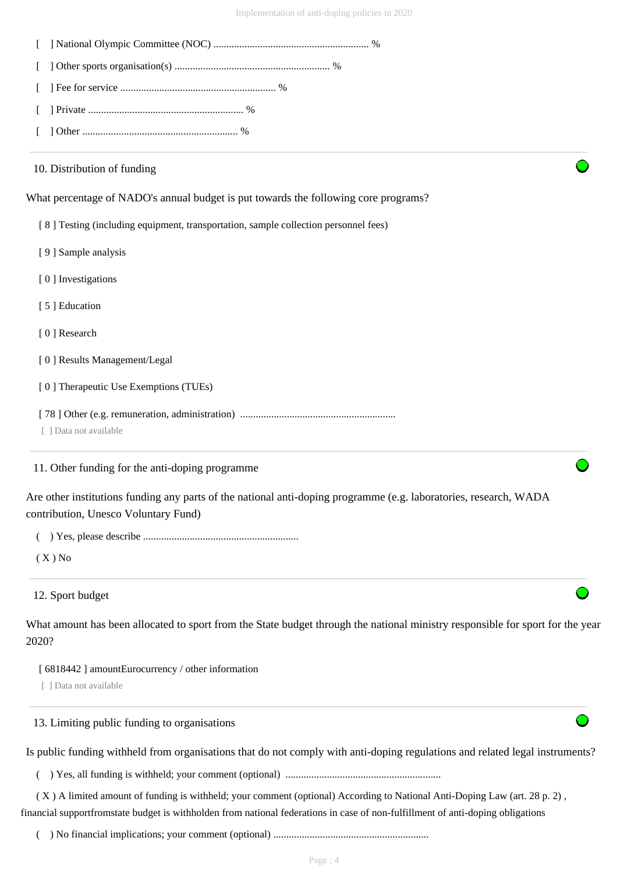| 10. Distribution of funding  |                                                                                                                                                           |
|------------------------------|-----------------------------------------------------------------------------------------------------------------------------------------------------------|
|                              | What percentage of NADO's annual budget is put towards the following core programs?                                                                       |
|                              | [8] Testing (including equipment, transportation, sample collection personnel fees)                                                                       |
| [9] Sample analysis          |                                                                                                                                                           |
| [0] Investigations           |                                                                                                                                                           |
| [5] Education                |                                                                                                                                                           |
| [0] Research                 |                                                                                                                                                           |
| [0] Results Management/Legal |                                                                                                                                                           |
|                              | [0] Therapeutic Use Exemptions (TUEs)                                                                                                                     |
| [ ] Data not available       |                                                                                                                                                           |
|                              | 11. Other funding for the anti-doping programme                                                                                                           |
|                              | Are other institutions funding any parts of the national anti-doping programme (e.g. laboratories, research, WADA<br>contribution, Unesco Voluntary Fund) |
|                              |                                                                                                                                                           |
| $(X)$ No                     |                                                                                                                                                           |
| 12. Sport budget             |                                                                                                                                                           |
| 2020?                        | What amount has been allocated to sport from the State budget through the national ministry responsible for sport for the year                            |
|                              | [ 6818442 ] amountEurocurrency / other information                                                                                                        |
| [ ] Data not available       |                                                                                                                                                           |
|                              | 13. Limiting public funding to organisations                                                                                                              |
|                              | Is public funding withheld from organisations that do not comply with anti-doping regulations and related legal instruments?                              |
|                              |                                                                                                                                                           |
|                              | (X) A limited amount of funding is withheld; your comment (optional) According to National Anti-Doping Law (art. 28 p. 2),                                |

( ) No financial implications; your comment (optional) ............................................................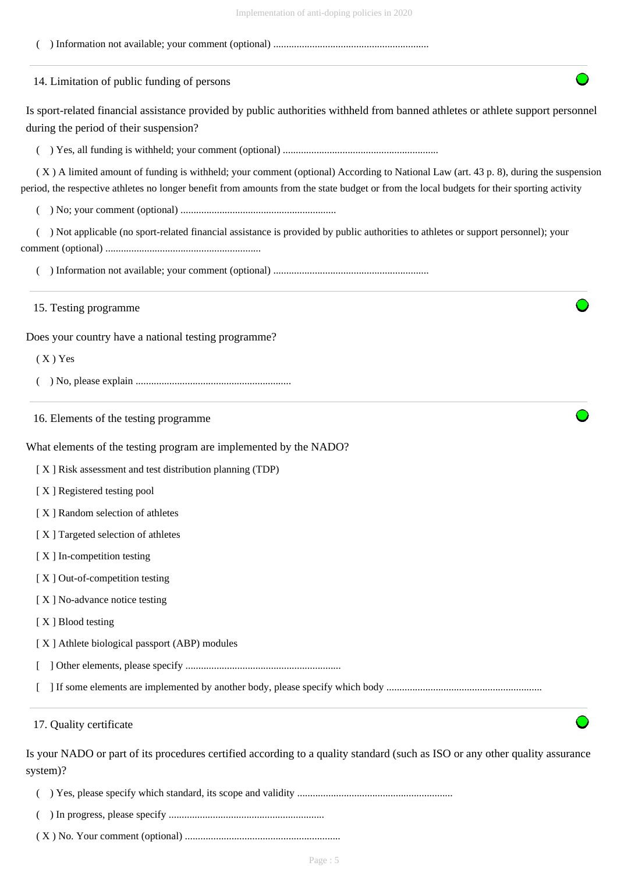|--|



- ( ) Yes, please specify which standard, its scope and validity ............................................................
- ( ) In progress, please specify ............................................................
- ( X ) No. Your comment (optional) ............................................................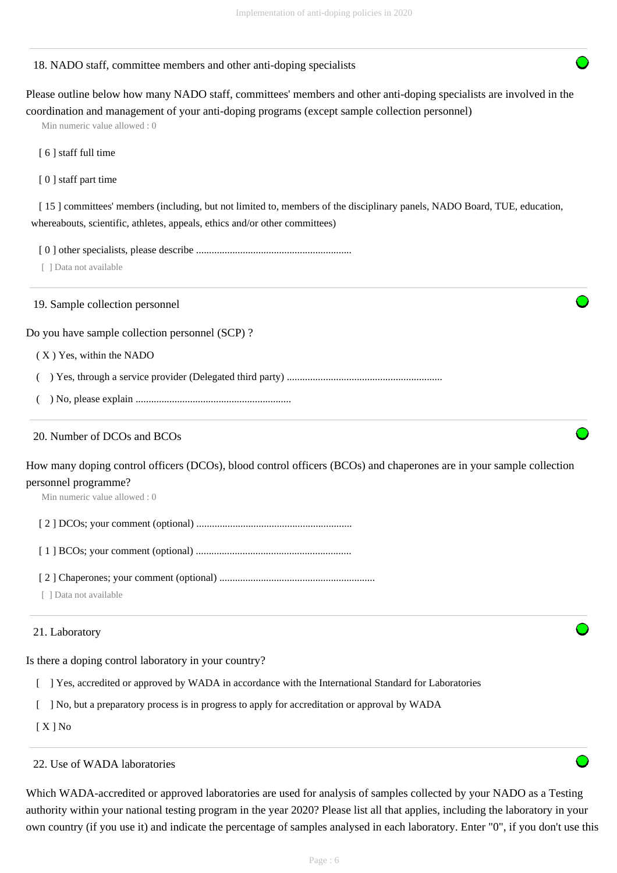#### 18. NADO staff, committee members and other anti-doping specialists

Please outline below how many NADO staff, committees' members and other anti-doping specialists are involved in the coordination and management of your anti-doping programs (except sample collection personnel)

Min numeric value allowed : 0

[ 6 ] staff full time

[ 0 ] staff part time

[15] committees' members (including, but not limited to, members of the disciplinary panels, NADO Board, TUE, education, whereabouts, scientific, athletes, appeals, ethics and/or other committees)

[ 0 ] other specialists, please describe ............................................................

[ ] Data not available

19. Sample collection personnel

Do you have sample collection personnel (SCP) ?

( X ) Yes, within the NADO

( ) Yes, through a service provider (Delegated third party) ............................................................

( ) No, please explain ............................................................

#### 20. Number of DCOs and BCOs

How many doping control officers (DCOs), blood control officers (BCOs) and chaperones are in your sample collection personnel programme?

Min numeric value allowed : 0

[ 2 ] DCOs; your comment (optional) ............................................................

[ 1 ] BCOs; your comment (optional) ............................................................

[ 2 ] Chaperones; your comment (optional) ............................................................

[ ] Data not available

#### 21. Laboratory

Is there a doping control laboratory in your country?

[ ] Yes, accredited or approved by WADA in accordance with the International Standard for Laboratories

[ ] No, but a preparatory process is in progress to apply for accreditation or approval by WADA

[ X ] No

#### 22. Use of WADA laboratories

Which WADA-accredited or approved laboratories are used for analysis of samples collected by your NADO as a Testing authority within your national testing program in the year 2020? Please list all that applies, including the laboratory in your own country (if you use it) and indicate the percentage of samples analysed in each laboratory. Enter "0", if you don't use this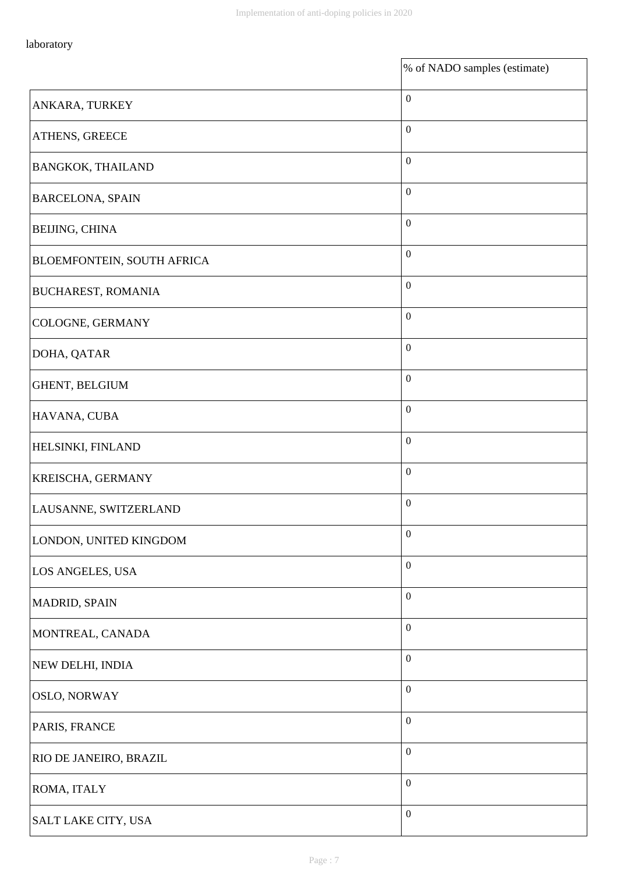$\mathbf{r}$ 

|                            | % of NADO samples (estimate) |
|----------------------------|------------------------------|
| ANKARA, TURKEY             | $\boldsymbol{0}$             |
| ATHENS, GREECE             | $\mathbf{0}$                 |
| <b>BANGKOK, THAILAND</b>   | $\boldsymbol{0}$             |
| <b>BARCELONA, SPAIN</b>    | $\mathbf{0}$                 |
| BEIJING, CHINA             | $\boldsymbol{0}$             |
| BLOEMFONTEIN, SOUTH AFRICA | $\boldsymbol{0}$             |
| <b>BUCHAREST, ROMANIA</b>  | $\boldsymbol{0}$             |
| COLOGNE, GERMANY           | $\boldsymbol{0}$             |
| DOHA, QATAR                | $\boldsymbol{0}$             |
| GHENT, BELGIUM             | $\boldsymbol{0}$             |
| HAVANA, CUBA               | $\boldsymbol{0}$             |
| HELSINKI, FINLAND          | $\boldsymbol{0}$             |
| KREISCHA, GERMANY          | $\boldsymbol{0}$             |
| LAUSANNE, SWITZERLAND      | $\boldsymbol{0}$             |
| LONDON, UNITED KINGDOM     | $\boldsymbol{0}$             |
| LOS ANGELES, USA           | $\boldsymbol{0}$             |
| <b>MADRID, SPAIN</b>       | $\boldsymbol{0}$             |
| MONTREAL, CANADA           | $\boldsymbol{0}$             |
| NEW DELHI, INDIA           | $\boldsymbol{0}$             |
| <b>OSLO, NORWAY</b>        | $\boldsymbol{0}$             |
| PARIS, FRANCE              | $\boldsymbol{0}$             |
| RIO DE JANEIRO, BRAZIL     | $\boldsymbol{0}$             |
| ROMA, ITALY                | $\boldsymbol{0}$             |
| SALT LAKE CITY, USA        | $\boldsymbol{0}$             |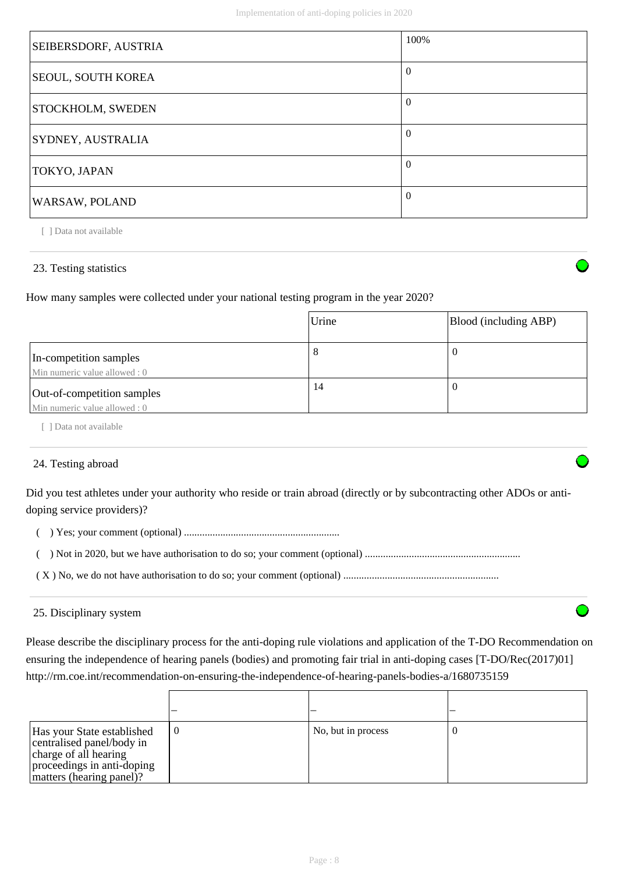| <b>SEIBERSDORF, AUSTRIA</b> | 100%           |
|-----------------------------|----------------|
| <b>SEOUL, SOUTH KOREA</b>   | $\theta$       |
| <b>STOCKHOLM, SWEDEN</b>    | $\overline{0}$ |
| <b>SYDNEY, AUSTRALIA</b>    | $\theta$       |
| TOKYO, JAPAN                | $\Omega$       |
| <b>WARSAW, POLAND</b>       | $\Omega$       |

## 23. Testing statistics

How many samples were collected under your national testing program in the year 2020?

|                                                            | Urine | Blood (including ABP) |
|------------------------------------------------------------|-------|-----------------------|
| In-competition samples<br>Min numeric value allowed : 0    | 8     | v                     |
| Out-of-competition samples<br>Min numeric value allowed: 0 | 14    | v                     |

[ ] Data not available

# 24. Testing abroad

Did you test athletes under your authority who reside or train abroad (directly or by subcontracting other ADOs or antidoping service providers)?

( ) Yes; your comment (optional) ............................................................

( ) Not in 2020, but we have authorisation to do so; your comment (optional) ............................................................

( X ) No, we do not have authorisation to do so; your comment (optional) ............................................................

## 25. Disciplinary system

Please describe the disciplinary process for the anti-doping rule violations and application of the T-DO Recommendation on ensuring the independence of hearing panels (bodies) and promoting fair trial in anti-doping cases [T-DO/Rec(2017)01] http://rm.coe.int/recommendation-on-ensuring-the-independence-of-hearing-panels-bodies-a/1680735159

| Has your State established<br>centralised panel/body in<br>charge of all hearing<br>proceedings in anti-doping<br>matters (hearing panel)? | $\boldsymbol{0}$ | No, but in process |  |
|--------------------------------------------------------------------------------------------------------------------------------------------|------------------|--------------------|--|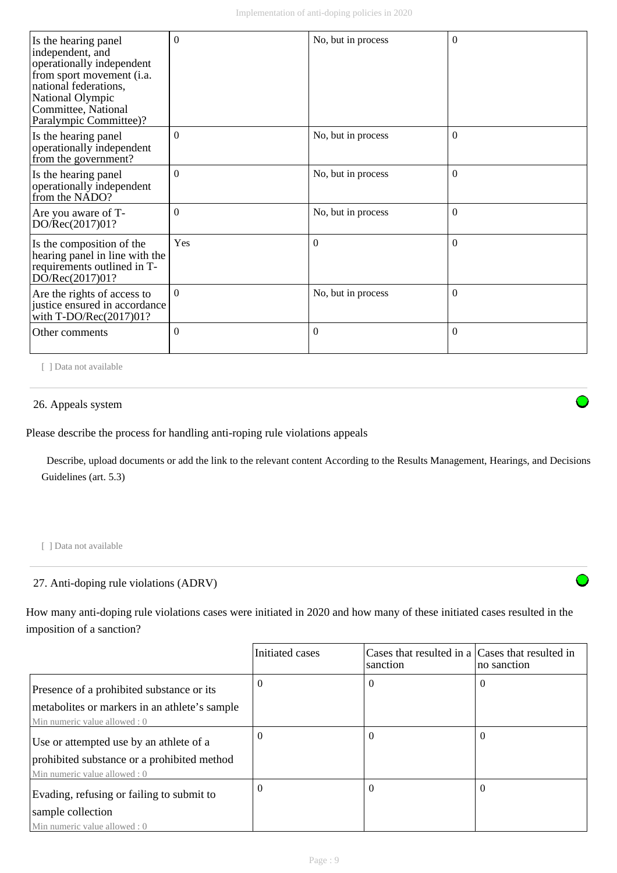| Is the hearing panel<br>independent, and<br>operationally independent<br>from sport movement (i.a.<br>national federations,<br>National Olympic<br>Committee, National<br>Paralympic Committee)? | $\Omega$ | No, but in process | $\theta$ |
|--------------------------------------------------------------------------------------------------------------------------------------------------------------------------------------------------|----------|--------------------|----------|
| Is the hearing panel<br>operationally independent<br>from the government?                                                                                                                        | $\Omega$ | No, but in process | $\Omega$ |
| Is the hearing panel<br>operationally independent<br>from the NADO?                                                                                                                              | $\Omega$ | No, but in process | $\Omega$ |
| Are you aware of T-<br>DO/Rec(2017)01?                                                                                                                                                           | $\Omega$ | No, but in process | $\Omega$ |
| Is the composition of the<br>hearing panel in line with the<br>requirements outlined in T-<br>DO/Rec(2017)01?                                                                                    | Yes      | $\overline{0}$     | $\Omega$ |
| Are the rights of access to<br>justice ensured in accordance<br>with T-DO/Rec(2017)01?                                                                                                           | $\Omega$ | No, but in process | $\Omega$ |
| Other comments                                                                                                                                                                                   | $\Omega$ | $\theta$           | $\Omega$ |

#### 26. Appeals system

Please describe the process for handling anti-roping rule violations appeals

 Describe, upload documents or add the link to the relevant content According to the Results Management, Hearings, and Decisions Guidelines (art. 5.3)

[ ] Data not available

## 27. Anti-doping rule violations (ADRV)

How many anti-doping rule violations cases were initiated in 2020 and how many of these initiated cases resulted in the imposition of a sanction?

|                                               | Initiated cases | Cases that resulted in a Cases that resulted in<br>sanction | no sanction |
|-----------------------------------------------|-----------------|-------------------------------------------------------------|-------------|
| Presence of a prohibited substance or its     | $\Omega$        | $\theta$                                                    | $\Omega$    |
| metabolites or markers in an athlete's sample |                 |                                                             |             |
| Min numeric value allowed: 0                  |                 |                                                             |             |
| Use or attempted use by an athlete of a       | $\Omega$        | 0                                                           | $\Omega$    |
| prohibited substance or a prohibited method   |                 |                                                             |             |
| Min numeric value allowed : 0                 |                 |                                                             |             |
| Evading, refusing or failing to submit to     | $\Omega$        | 0                                                           | $\Omega$    |
| sample collection                             |                 |                                                             |             |
| Min numeric value allowed: 0                  |                 |                                                             |             |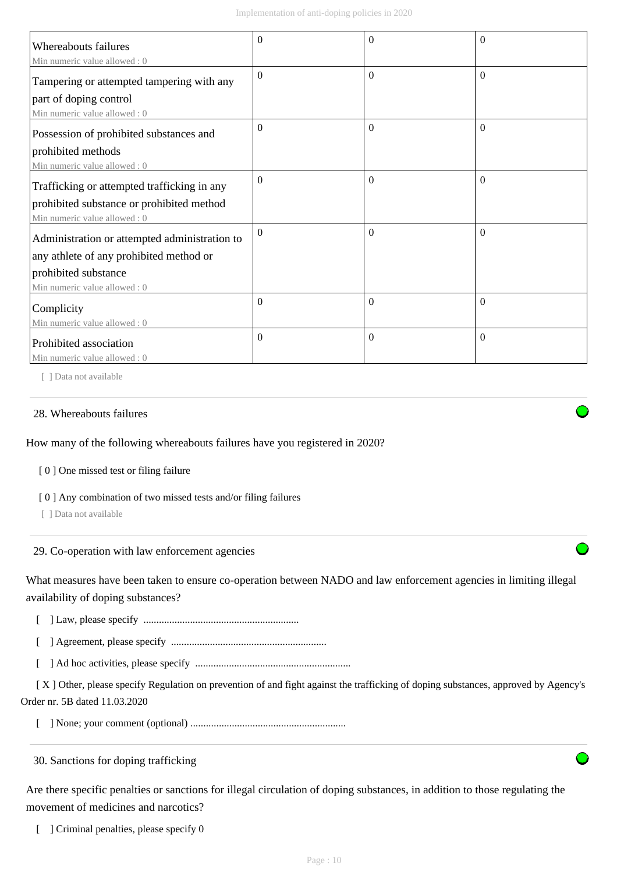| <b>Whereabouts failures</b>                                                                                                                      | $\Omega$ | $\Omega$ | $\theta$ |
|--------------------------------------------------------------------------------------------------------------------------------------------------|----------|----------|----------|
| Min numeric value allowed: 0<br>Tampering or attempted tampering with any<br>part of doping control<br>Min numeric value allowed: 0              | $\Omega$ | $\theta$ | $\Omega$ |
| Possession of prohibited substances and<br>prohibited methods<br>Min numeric value allowed: 0                                                    | $\Omega$ | $\theta$ | $\Omega$ |
| Trafficking or attempted trafficking in any<br>prohibited substance or prohibited method<br>Min numeric value allowed: 0                         | $\Omega$ | $\theta$ | $\Omega$ |
| Administration or attempted administration to<br>any athlete of any prohibited method or<br>prohibited substance<br>Min numeric value allowed: 0 | $\Omega$ | $\Omega$ | $\Omega$ |
| Complicity<br>Min numeric value allowed: 0                                                                                                       | $\Omega$ | $\Omega$ | $\Omega$ |
| Prohibited association<br>Min numeric value allowed: 0                                                                                           | $\Omega$ | $\Omega$ | $\Omega$ |

#### 28. Whereabouts failures

How many of the following whereabouts failures have you registered in 2020?

[ 0 ] One missed test or filing failure

[ 0 ] Any combination of two missed tests and/or filing failures

[ ] Data not available

29. Co-operation with law enforcement agencies

What measures have been taken to ensure co-operation between NADO and law enforcement agencies in limiting illegal availability of doping substances?

[ ] Law, please specify ............................................................

[ ] Agreement, please specify ............................................................

[ ] Ad hoc activities, please specify ............................................................

 [ X ] Other, please specify Regulation on prevention of and fight against the trafficking of doping substances, approved by Agency's Order nr. 5B dated 11.03.2020

[ ] None; your comment (optional) ............................................................

30. Sanctions for doping trafficking

Are there specific penalties or sanctions for illegal circulation of doping substances, in addition to those regulating the movement of medicines and narcotics?

[ ] Criminal penalties, please specify 0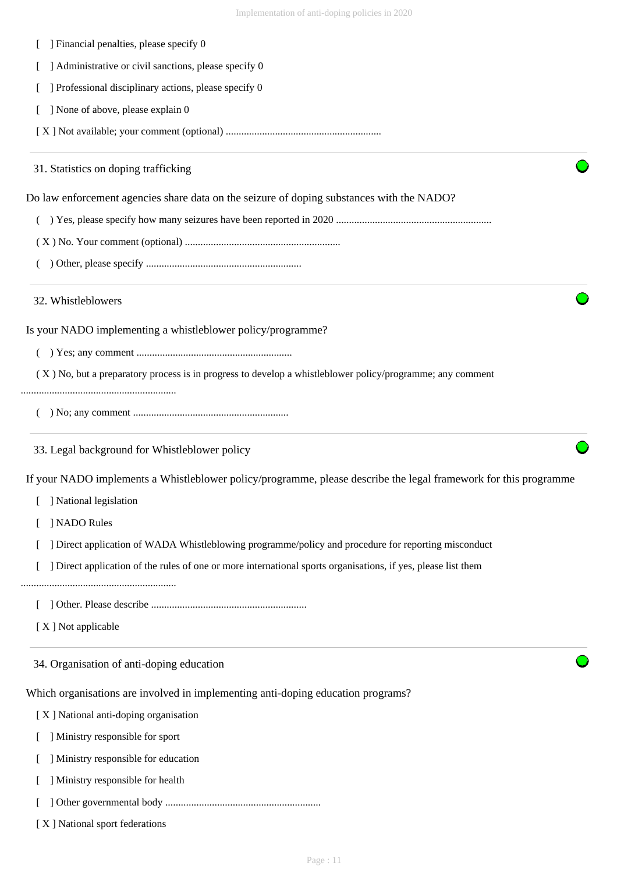| ] Financial penalties, please specify 0                                                                       |                                                                                                                  |
|---------------------------------------------------------------------------------------------------------------|------------------------------------------------------------------------------------------------------------------|
| ] Administrative or civil sanctions, please specify 0                                                         |                                                                                                                  |
| ] Professional disciplinary actions, please specify 0                                                         |                                                                                                                  |
| ] None of above, please explain 0                                                                             |                                                                                                                  |
|                                                                                                               |                                                                                                                  |
| 31. Statistics on doping trafficking                                                                          |                                                                                                                  |
| Do law enforcement agencies share data on the seizure of doping substances with the NADO?                     |                                                                                                                  |
|                                                                                                               |                                                                                                                  |
|                                                                                                               |                                                                                                                  |
|                                                                                                               |                                                                                                                  |
| 32. Whistleblowers                                                                                            |                                                                                                                  |
| Is your NADO implementing a whistleblower policy/programme?                                                   |                                                                                                                  |
|                                                                                                               |                                                                                                                  |
| (X) No, but a preparatory process is in progress to develop a whistleblower policy/programme; any comment     |                                                                                                                  |
|                                                                                                               |                                                                                                                  |
|                                                                                                               |                                                                                                                  |
| 33. Legal background for Whistleblower policy                                                                 |                                                                                                                  |
|                                                                                                               | If your NADO implements a Whistleblower policy/programme, please describe the legal framework for this programme |
| National legislation                                                                                          |                                                                                                                  |
| ] NADO Rules                                                                                                  |                                                                                                                  |
| ] Direct application of WADA Whistleblowing programme/policy and procedure for reporting misconduct           |                                                                                                                  |
| ] Direct application of the rules of one or more international sports organisations, if yes, please list them |                                                                                                                  |
|                                                                                                               |                                                                                                                  |
| [X] Not applicable                                                                                            |                                                                                                                  |
| 34. Organisation of anti-doping education                                                                     |                                                                                                                  |
| Which organisations are involved in implementing anti-doping education programs?                              |                                                                                                                  |
| [X] National anti-doping organisation                                                                         |                                                                                                                  |
| ] Ministry responsible for sport                                                                              |                                                                                                                  |
| ] Ministry responsible for education                                                                          |                                                                                                                  |
| ] Ministry responsible for health                                                                             |                                                                                                                  |
|                                                                                                               |                                                                                                                  |

[ X ] National sport federations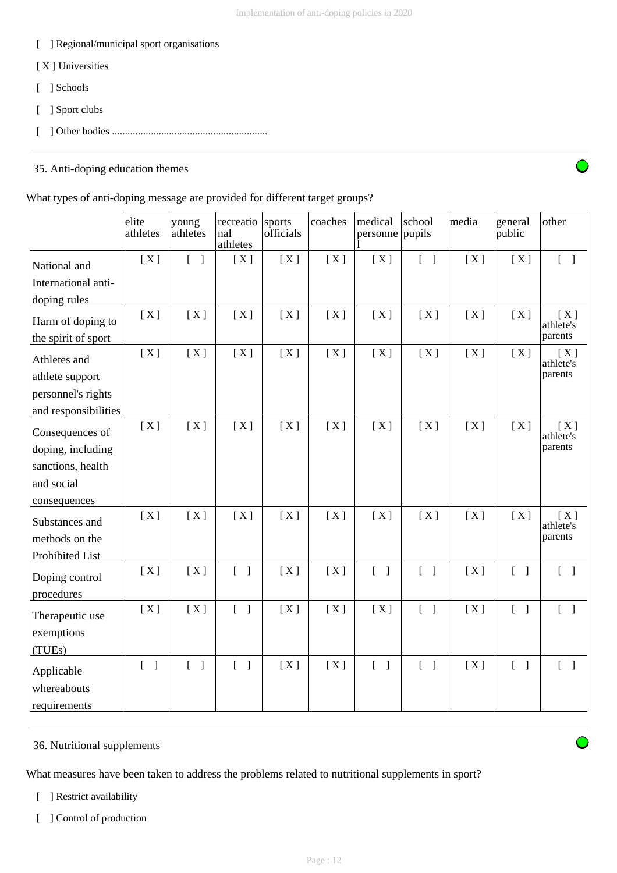- [ ] Regional/municipal sport organisations
- [ X ] Universities
- [ ] Schools
- [ ] Sport clubs
- [ ] Other bodies ............................................................

# 35. Anti-doping education themes

What types of anti-doping message are provided for different target groups?

|                              | elite<br>athletes                 | young<br>athletes          | recreatio<br>nal<br>athletes             | sports<br>officials | coaches | medical<br>personne               | school<br>pupils                  | media | general<br>public                 | other                             |
|------------------------------|-----------------------------------|----------------------------|------------------------------------------|---------------------|---------|-----------------------------------|-----------------------------------|-------|-----------------------------------|-----------------------------------|
| National and                 | [X]                               | $[\ ]$                     | [X]                                      | [X]                 | [X]     | [X]                               | $\begin{bmatrix} 1 \end{bmatrix}$ | [X]   | [X]                               | $\begin{bmatrix} 1 \end{bmatrix}$ |
| International anti-          |                                   |                            |                                          |                     |         |                                   |                                   |       |                                   |                                   |
| doping rules                 |                                   |                            |                                          |                     |         |                                   |                                   |       |                                   |                                   |
| Harm of doping to            | [X]                               | [X]                        | [X]                                      | [X]                 | [X]     | [X]                               | [X]                               | [X]   | [X]                               | [X]<br>athlete's                  |
| the spirit of sport          |                                   |                            |                                          |                     |         |                                   |                                   |       |                                   | parents                           |
| Athletes and                 | [X]                               | [X]                        | [X]                                      | [X]                 | [X]     | [X]                               | [X]                               | [X]   | [X]                               | [X]<br>athlete's                  |
| athlete support              |                                   |                            |                                          |                     |         |                                   |                                   |       |                                   | parents                           |
| personnel's rights           |                                   |                            |                                          |                     |         |                                   |                                   |       |                                   |                                   |
| and responsibilities         |                                   |                            |                                          |                     |         |                                   |                                   |       |                                   |                                   |
| Consequences of              | [X]                               | [X]                        | [X]                                      | [X]                 | [X]     | [X]                               | [X]                               | [X]   | [X]                               | [X]<br>athlete's                  |
| doping, including            |                                   |                            |                                          |                     |         |                                   |                                   |       |                                   | parents                           |
| sanctions, health            |                                   |                            |                                          |                     |         |                                   |                                   |       |                                   |                                   |
| and social                   |                                   |                            |                                          |                     |         |                                   |                                   |       |                                   |                                   |
| consequences                 |                                   |                            |                                          |                     |         |                                   |                                   |       |                                   |                                   |
| Substances and               | [X]                               | [X]                        | [X]                                      | [X]                 | [X]     | [X]                               | [X]                               | [X]   | [X]                               | [X]<br>athlete's                  |
| methods on the               |                                   |                            |                                          |                     |         |                                   |                                   |       |                                   | parents                           |
| Prohibited List              |                                   |                            |                                          |                     |         |                                   |                                   |       |                                   |                                   |
| Doping control<br>procedures | [X]                               | [X]                        | $\begin{bmatrix} 1 \end{bmatrix}$        | [X]                 | [X]     | $\begin{bmatrix} 1 \end{bmatrix}$ | $[ \ ]$                           | [X]   | $\begin{bmatrix} 1 \end{bmatrix}$ | $\begin{bmatrix} 1 \end{bmatrix}$ |
| Therapeutic use              | [X]                               | [X]                        | $\begin{bmatrix} 1 \end{bmatrix}$        | [X]                 | [X]     | [X]                               | $[ \ ]$                           | [X]   | $\begin{bmatrix} 1 \end{bmatrix}$ | $\begin{bmatrix} 1 \end{bmatrix}$ |
| exemptions                   |                                   |                            |                                          |                     |         |                                   |                                   |       |                                   |                                   |
| (TUEs)                       |                                   |                            |                                          |                     |         |                                   |                                   |       |                                   |                                   |
| Applicable<br>whereabouts    | $\begin{bmatrix} 1 \end{bmatrix}$ | $\Gamma$<br>$\overline{1}$ | $\mathbf{r}$<br>$\overline{\phantom{a}}$ | [X]                 | [X]     | $\begin{bmatrix} 1 \end{bmatrix}$ | $[ \ ]$                           | [X]   | $\begin{bmatrix} 1 \end{bmatrix}$ | $\begin{bmatrix} 1 \end{bmatrix}$ |
| requirements                 |                                   |                            |                                          |                     |         |                                   |                                   |       |                                   |                                   |

## 36. Nutritional supplements

What measures have been taken to address the problems related to nutritional supplements in sport?

- [ ] Restrict availability
- [ ] Control of production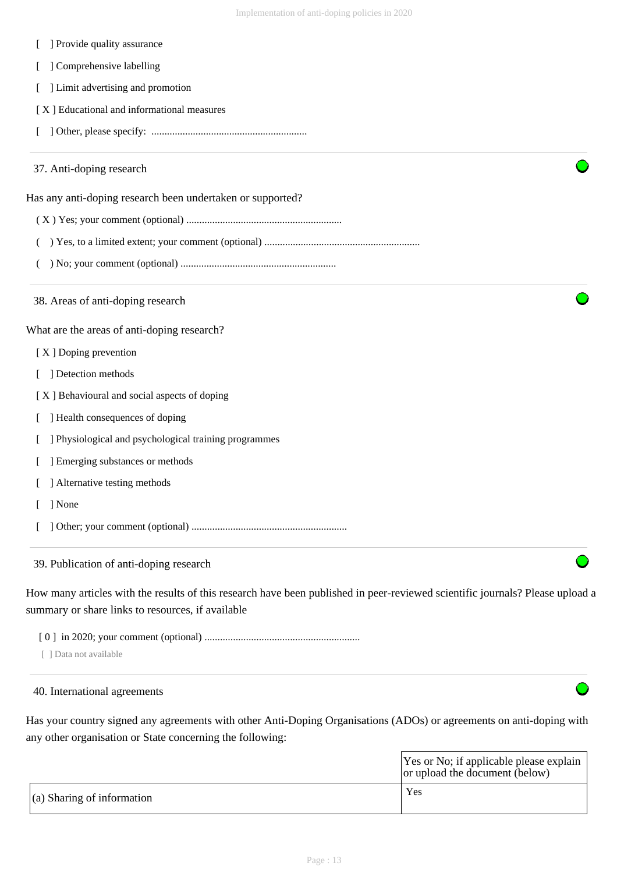| ] Comprehensive labelling                                                                                                     |  |
|-------------------------------------------------------------------------------------------------------------------------------|--|
| ] Limit advertising and promotion                                                                                             |  |
| [X] Educational and informational measures                                                                                    |  |
|                                                                                                                               |  |
| 37. Anti-doping research                                                                                                      |  |
| Has any anti-doping research been undertaken or supported?                                                                    |  |
|                                                                                                                               |  |
|                                                                                                                               |  |
|                                                                                                                               |  |
| 38. Areas of anti-doping research                                                                                             |  |
| What are the areas of anti-doping research?                                                                                   |  |
| [X] Doping prevention                                                                                                         |  |
| ] Detection methods                                                                                                           |  |
| [X] Behavioural and social aspects of doping                                                                                  |  |
| ] Health consequences of doping                                                                                               |  |
| ] Physiological and psychological training programmes                                                                         |  |
| ] Emerging substances or methods                                                                                              |  |
| ] Alternative testing methods                                                                                                 |  |
| ] None                                                                                                                        |  |
|                                                                                                                               |  |
| 39. Publication of anti-doping research                                                                                       |  |
| How many articles with the results of this research have been published in peer-reviewed scientific journals? Please upload a |  |
| summary or share links to resources, if available                                                                             |  |

[ 0 ] in 2020; your comment (optional) ............................................................

[ ] Data not available

40. International agreements

[ ] Provide quality assurance

Has your country signed any agreements with other Anti-Doping Organisations (ADOs) or agreements on anti-doping with any other organisation or State concerning the following:

|                                    | Yes or No; if applicable please explain<br>or upload the document (below) |
|------------------------------------|---------------------------------------------------------------------------|
| $\vert$ (a) Sharing of information | Yes                                                                       |